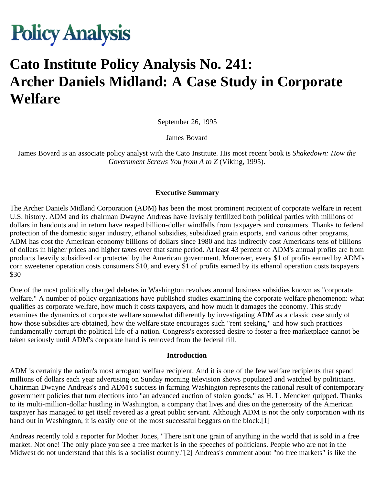# **Policy Analysis**

# **Cato Institute Policy Analysis No. 241: Archer Daniels Midland: A Case Study in Corporate Welfare**

September 26, 1995

James Bovard

James Bovard is an associate policy analyst with the Cato Institute. His most recent book is *Shakedown: How the Government Screws You from A to Z* (Viking, 1995).

#### **Executive Summary**

The Archer Daniels Midland Corporation (ADM) has been the most prominent recipient of corporate welfare in recent U.S. history. ADM and its chairman Dwayne Andreas have lavishly fertilized both political parties with millions of dollars in handouts and in return have reaped billion-dollar windfalls from taxpayers and consumers. Thanks to federal protection of the domestic sugar industry, ethanol subsidies, subsidized grain exports, and various other programs, ADM has cost the American economy billions of dollars since 1980 and has indirectly cost Americans tens of billions of dollars in higher prices and higher taxes over that same period. At least 43 percent of ADM's annual profits are from products heavily subsidized or protected by the American government. Moreover, every \$1 of profits earned by ADM's corn sweetener operation costs consumers \$10, and every \$1 of profits earned by its ethanol operation costs taxpayers \$30

One of the most politically charged debates in Washington revolves around business subsidies known as "corporate welfare." A number of policy organizations have published studies examining the corporate welfare phenomenon: what qualifies as corporate welfare, how much it costs taxpayers, and how much it damages the economy. This study examines the dynamics of corporate welfare somewhat differently by investigating ADM as a classic case study of how those subsidies are obtained, how the welfare state encourages such "rent seeking," and how such practices fundamentally corrupt the political life of a nation. Congress's expressed desire to foster a free marketplace cannot be taken seriously until ADM's corporate hand is removed from the federal till.

#### **Introduction**

ADM is certainly the nation's most arrogant welfare recipient. And it is one of the few welfare recipients that spend millions of dollars each year advertising on Sunday morning television shows populated and watched by politicians. Chairman Dwayne Andreas's and ADM's success in farming Washington represents the rational result of contemporary government policies that turn elections into "an advanced auction of stolen goods," as H. L. Mencken quipped. Thanks to its multi-million-dollar hustling in Washington, a company that lives and dies on the generosity of the American taxpayer has managed to get itself revered as a great public servant. Although ADM is not the only corporation with its hand out in Washington, it is easily one of the most successful beggars on the block.[1]

Andreas recently told a reporter for Mother Jones, "There isn't one grain of anything in the world that is sold in a free market. Not one! The only place you see a free market is in the speeches of politicians. People who are not in the Midwest do not understand that this is a socialist country."[2] Andreas's comment about "no free markets" is like the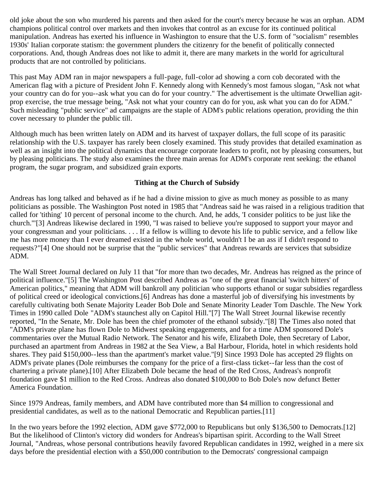old joke about the son who murdered his parents and then asked for the court's mercy because he was an orphan. ADM champions political control over markets and then invokes that control as an excuse for its continued political manipulation. Andreas has exerted his influence in Washington to ensure that the U.S. form of "socialism" resembles 1930s' Italian corporate statism: the government plunders the citizenry for the benefit of politically connected corporations. And, though Andreas does not like to admit it, there are many markets in the world for agricultural products that are not controlled by politicians.

This past May ADM ran in major newspapers a full-page, full-color ad showing a corn cob decorated with the American flag with a picture of President John F. Kennedy along with Kennedy's most famous slogan, "Ask not what your country can do for you--ask what you can do for your country." The advertisement is the ultimate Orwellian agitprop exercise, the true message being, "Ask not what your country can do for you, ask what you can do for ADM." Such misleading "public service" ad campaigns are the staple of ADM's public relations operation, providing the thin cover necessary to plunder the public till.

Although much has been written lately on ADM and its harvest of taxpayer dollars, the full scope of its parasitic relationship with the U.S. taxpayer has rarely been closely examined. This study provides that detailed examination as well as an insight into the political dynamics that encourage corporate leaders to profit, not by pleasing consumers, but by pleasing politicians. The study also examines the three main arenas for ADM's corporate rent seeking: the ethanol program, the sugar program, and subsidized grain exports.

### **Tithing at the Church of Subsidy**

Andreas has long talked and behaved as if he had a divine mission to give as much money as possible to as many politicians as possible. The Washington Post noted in 1985 that "Andreas said he was raised in a religious tradition that called for 'tithing' 10 percent of personal income to the church. And, he adds, 'I consider politics to be just like the church.'"[3] Andreas likewise declared in 1990, "I was raised to believe you're supposed to support your mayor and your congressman and your politicians. . . . If a fellow is willing to devote his life to public service, and a fellow like me has more money than I ever dreamed existed in the whole world, wouldn't I be an ass if I didn't respond to requests?"[4] One should not be surprise that the "public services" that Andreas rewards are services that subsidize ADM.

The Wall Street Journal declared on July 11 that "for more than two decades, Mr. Andreas has reigned as the prince of political influence."[5] The Washington Post described Andreas as "one of the great financial 'switch hitters' of American politics," meaning that ADM will bankroll any politician who supports ethanol or sugar subsidies regardless of political creed or ideological convictions.[6] Andreas has done a masterful job of diversifying his investments by carefully cultivating both Senate Majority Leader Bob Dole and Senate Minority Leader Tom Daschle. The New York Times in 1990 called Dole "ADM's staunchest ally on Capitol Hill."[7] The Wall Street Journal likewise recently reported, "In the Senate, Mr. Dole has been the chief promoter of the ethanol subsidy."[8] The Times also noted that "ADM's private plane has flown Dole to Midwest speaking engagements, and for a time ADM sponsored Dole's commentaries over the Mutual Radio Network. The Senator and his wife, Elizabeth Dole, then Secretary of Labor, purchased an apartment from Andreas in 1982 at the Sea View, a Bal Harbour, Florida, hotel in which residents hold shares. They paid \$150,000--less than the apartment's market value."[9] Since 1993 Dole has accepted 29 flights on ADM's private planes (Dole reimburses the company for the price of a first-class ticket--far less than the cost of chartering a private plane).[10] After Elizabeth Dole became the head of the Red Cross, Andreas's nonprofit foundation gave \$1 million to the Red Cross. Andreas also donated \$100,000 to Bob Dole's now defunct Better America Foundation.

Since 1979 Andreas, family members, and ADM have contributed more than \$4 million to congressional and presidential candidates, as well as to the national Democratic and Republican parties.[11]

In the two years before the 1992 election, ADM gave \$772,000 to Republicans but only \$136,500 to Democrats.[12] But the likelihood of Clinton's victory did wonders for Andreas's bipartisan spirit. According to the Wall Street Journal, "Andreas, whose personal contributions heavily favored Republican candidates in 1992, weighed in a mere six days before the presidential election with a \$50,000 contribution to the Democrats' congressional campaign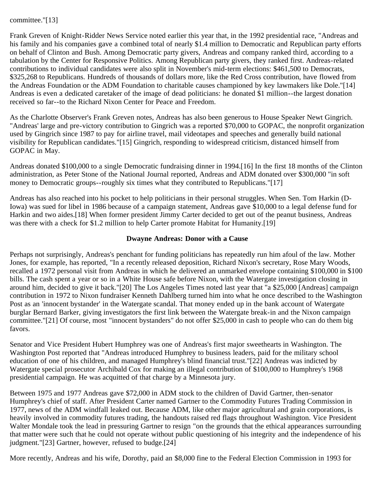#### committee."[13]

Frank Greven of Knight-Ridder News Service noted earlier this year that, in the 1992 presidential race, "Andreas and his family and his companies gave a combined total of nearly \$1.4 million to Democratic and Republican party efforts on behalf of Clinton and Bush. Among Democratic party givers, Andreas and company ranked third, according to a tabulation by the Center for Responsive Politics. Among Republican party givers, they ranked first. Andreas-related contributions to individual candidates were also split in November's mid-term elections: \$461,500 to Democrats, \$325,268 to Republicans. Hundreds of thousands of dollars more, like the Red Cross contribution, have flowed from the Andreas Foundation or the ADM Foundation to charitable causes championed by key lawmakers like Dole."[14] Andreas is even a dedicated caretaker of the image of dead politicians: he donated \$1 million--the largest donation received so far--to the Richard Nixon Center for Peace and Freedom.

As the Charlotte Observer's Frank Greven notes, Andreas has also been generous to House Speaker Newt Gingrich. "Andreas' large and pre-victory contribution to Gingrich was a reported \$70,000 to GOPAC, the nonprofit organization used by Gingrich since 1987 to pay for airline travel, mail videotapes and speeches and generally build national visibility for Republican candidates."[15] Gingrich, responding to widespread criticism, distanced himself from GOPAC in May.

Andreas donated \$100,000 to a single Democratic fundraising dinner in 1994.[16] In the first 18 months of the Clinton administration, as Peter Stone of the National Journal reported, Andreas and ADM donated over \$300,000 "in soft money to Democratic groups--roughly six times what they contributed to Republicans."[17]

Andreas has also reached into his pocket to help politicians in their personal struggles. When Sen. Tom Harkin (D-Iowa) was sued for libel in 1986 because of a campaign statement, Andreas gave \$10,000 to a legal defense fund for Harkin and two aides.[18] When former president Jimmy Carter decided to get out of the peanut business, Andreas was there with a check for \$1.2 million to help Carter promote Habitat for Humanity.[19]

#### **Dwayne Andreas: Donor with a Cause**

Perhaps not surprisingly, Andreas's penchant for funding politicians has repeatedly run him afoul of the law. Mother Jones, for example, has reported, "In a recently released deposition, Richard Nixon's secretary, Rose Mary Woods, recalled a 1972 personal visit from Andreas in which he delivered an unmarked envelope containing \$100,000 in \$100 bills. The cash spent a year or so in a White House safe before Nixon, with the Watergate investigation closing in around him, decided to give it back."[20] The Los Angeles Times noted last year that "a \$25,000 [Andreas] campaign contribution in 1972 to Nixon fundraiser Kenneth Dahlberg turned him into what he once described to the Washington Post as an 'innocent bystander' in the Watergate scandal. That money ended up in the bank account of Watergate burglar Bernard Barker, giving investigators the first link between the Watergate break-in and the Nixon campaign committee."[21] Of course, most "innocent bystanders" do not offer \$25,000 in cash to people who can do them big favors.

Senator and Vice President Hubert Humphrey was one of Andreas's first major sweethearts in Washington. The Washington Post reported that "Andreas introduced Humphrey to business leaders, paid for the military school education of one of his children, and managed Humphrey's blind financial trust."[22] Andreas was indicted by Watergate special prosecutor Archibald Cox for making an illegal contribution of \$100,000 to Humphrey's 1968 presidential campaign. He was acquitted of that charge by a Minnesota jury.

Between 1975 and 1977 Andreas gave \$72,000 in ADM stock to the children of David Gartner, then-senator Humphrey's chief of staff. After President Carter named Gartner to the Commodity Futures Trading Commission in 1977, news of the ADM windfall leaked out. Because ADM, like other major agricultural and grain corporations, is heavily involved in commodity futures trading, the handouts raised red flags throughout Washington. Vice President Walter Mondale took the lead in pressuring Gartner to resign "on the grounds that the ethical appearances surrounding that matter were such that he could not operate without public questioning of his integrity and the independence of his judgment."[23] Gartner, however, refused to budge.[24]

More recently, Andreas and his wife, Dorothy, paid an \$8,000 fine to the Federal Election Commission in 1993 for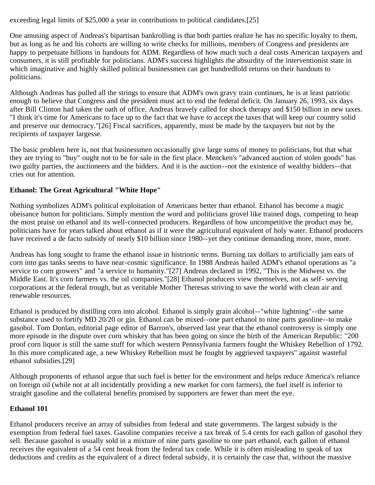exceeding legal limits of \$25,000 a year in contributions to political candidates.[25]

One amusing aspect of Andreas's bipartisan bankrolling is that both parties realize he has no specific loyalty to them, but as long as he and his cohorts are willing to write checks for millions, members of Congress and presidents are happy to perpetuate billions in handouts for ADM. Regardless of how much such a deal costs American taxpayers and consumers, it is still profitable for politicians. ADM's success highlights the absurdity of the interventionist state in which imaginative and highly skilled political businessmen can get hundredfold returns on their handouts to politicians.

Although Andreas has pulled all the strings to ensure that ADM's own gravy train continues, he is at least patriotic enough to believe that Congress and the president must act to end the federal deficit. On January 26, 1993, six days after Bill Clinton had taken the oath of office, Andreas bravely called for shock therapy and \$150 billion in new taxes. "I think it's time for Americans to face up to the fact that we have to accept the taxes that will keep our country solid and preserve our democracy."[26] Fiscal sacrifices, apparently, must be made by the taxpayers but not by the recipients of taxpayer largesse.

The basic problem here is, not that businessmen occasionally give large sums of money to politicians, but that what they are trying to "buy" ought not to be for sale in the first place. Mencken's "advanced auction of stolen goods" has two guilty parties, the auctioneers and the bidders. And it is the auction--not the existence of wealthy bidders--that cries out for attention.

# **Ethanol: The Great Agricultural "White Hope"**

Nothing symbolizes ADM's political exploitation of Americans better than ethanol. Ethanol has become a magic obeisance button for politicians. Simply mention the word and politicians grovel like trained dogs, competing to heap the most praise on ethanol and its well-connected producers. Regardless of how uncompetitive the product may be, politicians have for years talked about ethanol as if it were the agricultural equivalent of holy water. Ethanol producers have received a de facto subsidy of nearly \$10 billion since 1980--yet they continue demanding more, more, more.

Andreas has long sought to frame the ethanol issue in histrionic terms. Burning tax dollars to artificially jam ears of corn into gas tanks seems to have near-cosmic significance. In 1988 Andreas hailed ADM's ethanol operations as "a service to corn growers" and "a service to humanity."[27] Andreas declared in 1992, "This is the Midwest vs. the Middle East. It's corn farmers vs. the oil companies."[28] Ethanol producers view themselves, not as self- serving corporations at the federal trough, but as veritable Mother Theresas striving to save the world with clean air and renewable resources.

Ethanol is produced by distilling corn into alcohol. Ethanol is simply grain alcohol--"white lightning"--the same substance used to fortify MD 20/20 or gin. Ethanol can be mixed--one part ethanol to nine parts gasoline--to make gasohol. Tom Donlan, editorial page editor of Barron's, observed last year that the ethanol controversy is simply one more episode in the dispute over corn whiskey that has been going on since the birth of the American Republic: "200 proof corn liquor is still the same stuff for which western Pennsylvania farmers fought the Whiskey Rebellion of 1792. In this more complicated age, a new Whiskey Rebellion must be fought by aggrieved taxpayers" against wasteful ethanol subsidies.[29]

Although proponents of ethanol argue that such fuel is better for the environment and helps reduce America's reliance on foreign oil (while not at all incidentally providing a new market for corn farmers), the fuel itself is inferior to straight gasoline and the collateral benefits promised by supporters are fewer than meet the eye.

# **Ethanol 101**

Ethanol producers receive an array of subsidies from federal and state governments. The largest subsidy is the exemption from federal fuel taxes. Gasoline companies receive a tax break of 5.4 cents for each gallon of gasohol they sell. Because gasohol is usually sold in a mixture of nine parts gasoline to one part ethanol, each gallon of ethanol receives the equivalent of a 54 cent break from the federal tax code. While it is often misleading to speak of tax deductions and credits as the equivalent of a direct federal subsidy, it is certainly the case that, without the massive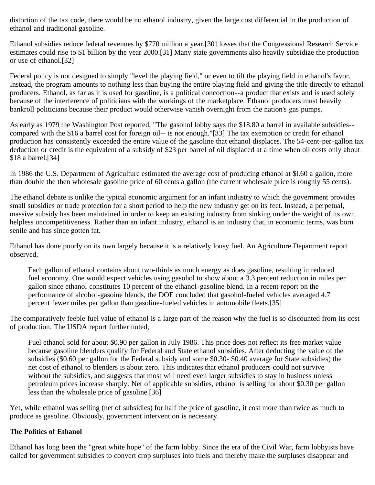distortion of the tax code, there would be no ethanol industry, given the large cost differential in the production of ethanol and traditional gasoline.

Ethanol subsidies reduce federal revenues by \$770 million a year,[30] losses that the Congressional Research Service estimates could rise to \$1 billion by the year 2000.[31] Many state governments also heavily subsidize the production or use of ethanol.[32]

Federal policy is not designed to simply "level the playing field," or even to tilt the playing field in ethanol's favor. Instead, the program amounts to nothing less than buying the entire playing field and giving the title directly to ethanol producers. Ethanol, as far as it is used for gasoline, is a political concoction--a product that exists and is used solely because of the interference of politicians with the workings of the marketplace. Ethanol producers must heavily bankroll politicians because their product would otherwise vanish overnight from the nation's gas pumps.

As early as 1979 the Washington Post reported, "The gasohol lobby says the \$18.80 a barrel in available subsidies- compared with the \$16 a barrel cost for foreign oil-- is not enough."[33] The tax exemption or credit for ethanol production has consistently exceeded the entire value of the gasoline that ethanol displaces. The 54-cent-per-gallon tax deduction or credit is the equivalent of a subsidy of \$23 per barrel of oil displaced at a time when oil costs only about \$18 a barrel.[34]

In 1986 the U.S. Department of Agriculture estimated the average cost of producing ethanol at \$l.60 a gallon, more than double the then wholesale gasoline price of 60 cents a gallon (the current wholesale price is roughly 55 cents).

The ethanol debate is unlike the typical economic argument for an infant industry to which the government provides small subsidies or trade protection for a short period to help the new industry get on its feet. Instead, a perpetual, massive subsidy has been maintained in order to keep an existing industry from sinking under the weight of its own helpless uncompetitiveness. Rather than an infant industry, ethanol is an industry that, in economic terms, was born senile and has since gotten fat.

Ethanol has done poorly on its own largely because it is a relatively lousy fuel. An Agriculture Department report observed,

Each gallon of ethanol contains about two-thirds as much energy as does gasoline, resulting in reduced fuel economy. One would expect vehicles using gasohol to show about a 3.3 percent reduction in miles per gallon since ethanol constitutes 10 percent of the ethanol-gasoline blend. In a recent report on the performance of alcohol-gasoine blends, the DOE concluded that gasohol-fueled vehicles averaged 4.7 percent fewer miles per gallon than gasoline-fueled vehicles in automobile fleets.[35]

The comparatively feeble fuel value of ethanol is a large part of the reason why the fuel is so discounted from its cost of production. The USDA report further noted,

Fuel ethanol sold for about \$0.90 per gallon in July 1986. This price does not reflect its free market value because gasoline blenders qualify for Federal and State ethanol subsidies. After deducting the value of the subsidies (\$0.60 per gallon for the Federal subsidy and some \$0.30- \$0.40 average for State subsidies) the net cost of ethanol to blenders is about zero. This indicates that ethanol producers could not survive without the subsidies, and suggests that most will need even larger subsidies to stay in business unless petroleum prices increase sharply. Net of applicable subsidies, ethanol is selling for about \$0.30 per gallon less than the wholesale price of gasoline.[36]

Yet, while ethanol was selling (net of subsidies) for half the price of gasoline, it cost more than twice as much to produce as gasoline. Obviously, government intervention is necessary.

### **The Politics of Ethanol**

Ethanol has long been the "great white hope" of the farm lobby. Since the era of the Civil War, farm lobbyists have called for government subsidies to convert crop surpluses into fuels and thereby make the surpluses disappear and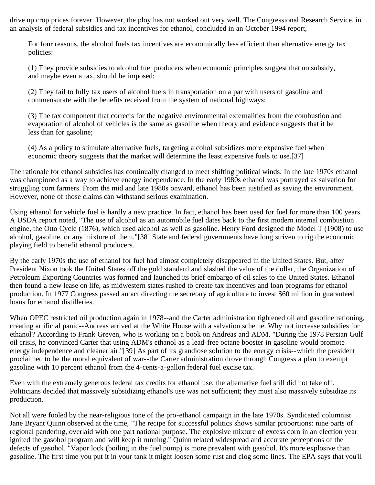drive up crop prices forever. However, the ploy has not worked out very well. The Congressional Research Service, in an analysis of federal subsidies and tax incentives for ethanol, concluded in an October 1994 report,

For four reasons, the alcohol fuels tax incentives are economically less efficient than alternative energy tax policies:

(1) They provide subsidies to alcohol fuel producers when economic principles suggest that no subsidy, and maybe even a tax, should be imposed;

(2) They fail to fully tax users of alcohol fuels in transportation on a par with users of gasoline and commensurate with the benefits received from the system of national highways;

(3) The tax component that corrects for the negative environmental externalities from the combustion and evaporation of alcohol of vehicles is the same as gasoline when theory and evidence suggests that it be less than for gasoline;

(4) As a policy to stimulate alternative fuels, targeting alcohol subsidizes more expensive fuel when economic theory suggests that the market will determine the least expensive fuels to use.[37]

The rationale for ethanol subsidies has continually changed to meet shifting political winds. In the late 1970s ethanol was championed as a way to achieve energy independence. In the early 1980s ethanol was portrayed as salvation for struggling corn farmers. From the mid and late 1980s onward, ethanol has been justified as saving the environment. However, none of those claims can withstand serious examination.

Using ethanol for vehicle fuel is hardly a new practice. In fact, ethanol has been used for fuel for more than 100 years. A USDA report noted, "The use of alcohol as an automobile fuel dates back to the first modern internal combustion engine, the Otto Cycle (1876), which used alcohol as well as gasoline. Henry Ford designed the Model T (1908) to use alcohol, gasoline, or any mixture of them."[38] State and federal governments have long striven to rig the economic playing field to benefit ethanol producers.

By the early 1970s the use of ethanol for fuel had almost completely disappeared in the United States. But, after President Nixon took the United States off the gold standard and slashed the value of the dollar, the Organization of Petroleum Exporting Countries was formed and launched its brief embargo of oil sales to the United States. Ethanol then found a new lease on life, as midwestern states rushed to create tax incentives and loan programs for ethanol production. In 1977 Congress passed an act directing the secretary of agriculture to invest \$60 million in guaranteed loans for ethanol distilleries.

When OPEC restricted oil production again in 1978--and the Carter administration tightened oil and gasoline rationing, creating artificial panic--Andreas arrived at the White House with a salvation scheme. Why not increase subsidies for ethanol? According to Frank Greven, who is working on a book on Andreas and ADM, "During the 1978 Persian Gulf oil crisis, he convinced Carter that using ADM's ethanol as a lead-free octane booster in gasoline would promote energy independence and cleaner air."[39] As part of its grandiose solution to the energy crisis--which the president proclaimed to be the moral equivalent of war--the Carter administration drove through Congress a plan to exempt gasoline with 10 percent ethanol from the 4-cents-a-gallon federal fuel excise tax.

Even with the extremely generous federal tax credits for ethanol use, the alternative fuel still did not take off. Politicians decided that massively subsidizing ethanol's use was not sufficient; they must also massively subsidize its production.

Not all were fooled by the near-religious tone of the pro-ethanol campaign in the late 1970s. Syndicated columnist Jane Bryant Quinn observed at the time, "The recipe for successful politics shows similar proportions: nine parts of regional pandering, overlaid with one part national purpose. The explosive mixture of excess corn in an election year ignited the gasohol program and will keep it running." Quinn related widespread and accurate perceptions of the defects of gasohol. "Vapor lock (boiling in the fuel pump) is more prevalent with gasohol. It's more explosive than gasoline. The first time you put it in your tank it might loosen some rust and clog some lines. The EPA says that you'll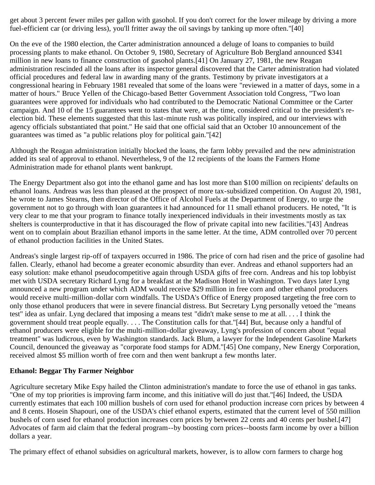get about 3 percent fewer miles per gallon with gasohol. If you don't correct for the lower mileage by driving a more fuel-efficient car (or driving less), you'll fritter away the oil savings by tanking up more often."[40]

On the eve of the 1980 election, the Carter administration announced a deluge of loans to companies to build processing plants to make ethanol. On October 9, 1980, Secretary of Agriculture Bob Bergland announced \$341 million in new loans to finance construction of gasohol plants.[41] On January 27, 1981, the new Reagan administration rescinded all the loans after its inspector general discovered that the Carter administration had violated official procedures and federal law in awarding many of the grants. Testimony by private investigators at a congressional hearing in February 1981 revealed that some of the loans were "reviewed in a matter of days, some in a matter of hours." Bruce Yellen of the Chicago-based Better Government Association told Congress, "Two loan guarantees were approved for individuals who had contributed to the Democratic National Committee or the Carter campaign. And 10 of the 15 guarantees went to states that were, at the time, considered critical to the president's reelection bid. These elements suggested that this last-minute rush was politically inspired, and our interviews with agency officials substantiated that point." He said that one official said that an October 10 announcement of the guarantees was timed as "a public relations ploy for political gain."[42]

Although the Reagan administration initially blocked the loans, the farm lobby prevailed and the new administration added its seal of approval to ethanol. Nevertheless, 9 of the 12 recipients of the loans the Farmers Home Administration made for ethanol plants went bankrupt.

The Energy Department also got into the ethanol game and has lost more than \$100 million on recipients' defaults on ethanol loans. Andreas was less than pleased at the prospect of more tax-subsidized competition. On August 20, 1981, he wrote to James Stearns, then director of the Office of Alcohol Fuels at the Department of Energy, to urge the government not to go through with loan guarantees it had announced for 11 small ethanol producers. He noted, "It is very clear to me that your program to finance totally inexperienced individuals in their investments mostly as tax shelters is counterproductive in that it has discouraged the flow of private capital into new facilities."[43] Andreas went on to complain about Brazilian ethanol imports in the same letter. At the time, ADM controlled over 70 percent of ethanol production facilities in the United States.

Andreas's single largest rip-off of taxpayers occurred in 1986. The price of corn had risen and the price of gasoline had fallen. Clearly, ethanol had become a greater economic absurdity than ever. Andreas and ethanol supporters had an easy solution: make ethanol pseudocompetitive again through USDA gifts of free corn. Andreas and his top lobbyist met with USDA secretary Richard Lyng for a breakfast at the Madison Hotel in Washington. Two days later Lyng announced a new program under which ADM would receive \$29 million in free corn and other ethanol producers would receive multi-million-dollar corn windfalls. The USDA's Office of Energy proposed targeting the free corn to only those ethanol producers that were in severe financial distress. But Secretary Lyng personally vetoed the "means test" idea as unfair. Lyng declared that imposing a means test "didn't make sense to me at all. . . . I think the government should treat people equally. . . . The Constitution calls for that."[44] But, because only a handful of ethanol producers were eligible for the multi-million-dollar giveaway, Lyng's profession of concern about "equal treatment" was ludicrous, even by Washington standards. Jack Blum, a lawyer for the Independent Gasoline Markets Council, denounced the giveaway as "corporate food stamps for ADM."[45] One company, New Energy Corporation, received almost \$5 million worth of free corn and then went bankrupt a few months later.

### **Ethanol: Beggar Thy Farmer Neighbor**

Agriculture secretary Mike Espy hailed the Clinton administration's mandate to force the use of ethanol in gas tanks. "One of my top priorities is improving farm income, and this initiative will do just that."[46] Indeed, the USDA currently estimates that each 100 million bushels of corn used for ethanol production increase corn prices by between 4 and 8 cents. Hosein Shapouri, one of the USDA's chief ethanol experts, estimated that the current level of 550 million bushels of corn used for ethanol production increases corn prices by between 22 cents and 40 cents per bushel.[47] Advocates of farm aid claim that the federal program--by boosting corn prices--boosts farm income by over a billion dollars a year.

The primary effect of ethanol subsidies on agricultural markets, however, is to allow corn farmers to charge hog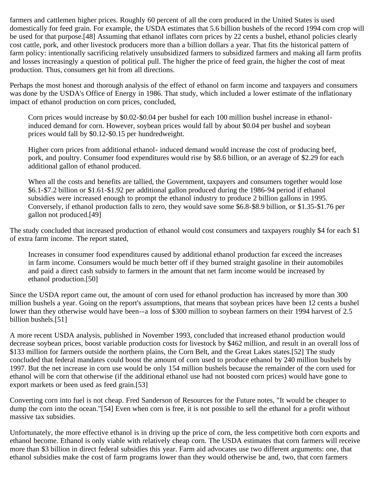farmers and cattlemen higher prices. Roughly 60 percent of all the corn produced in the United States is used domestically for feed grain. For example, the USDA estimates that 5.6 billion bushels of the record 1994 corn crop will be used for that purpose.[48] Assuming that ethanol inflates corn prices by 22 cents a bushel, ethanol policies clearly cost cattle, pork, and other livestock producers more than a billion dollars a year. That fits the historical pattern of farm policy: intentionally sacrificing relatively unsubsidized farmers to subsidized farmers and making all farm profits and losses increasingly a question of political pull. The higher the price of feed grain, the higher the cost of meat production. Thus, consumers get hit from all directions.

Perhaps the most honest and thorough analysis of the effect of ethanol on farm income and taxpayers and consumers was done by the USDA's Office of Energy in 1986. That study, which included a lower estimate of the inflationary impact of ethanol production on corn prices, concluded,

Corn prices would increase by \$0.02-\$0.04 per bushel for each 100 million bushel increase in ethanolinduced demand for corn. However, soybean prices would fall by about \$0.04 per bushel and soybean prices would fall by \$0.12-\$0.15 per hundredweight.

Higher corn prices from additional ethanol- induced demand would increase the cost of producing beef, pork, and poultry. Consumer food expenditures would rise by \$8.6 billion, or an average of \$2.29 for each additional gallon of ethanol produced.

When all the costs and benefits are tallied, the Government, taxpayers and consumers together would lose \$6.1-\$7.2 billion or \$1.61-\$1.92 per additional gallon produced during the 1986-94 period if ethanol subsidies were increased enough to prompt the ethanol industry to produce 2 billion gallons in 1995. Conversely, if ethanol production falls to zero, they would save some \$6.8-\$8.9 billion, or \$1.35-\$1.76 per gallon not produced.[49]

The study concluded that increased production of ethanol would cost consumers and taxpayers roughly \$4 for each \$1 of extra farm income. The report stated,

Increases in consumer food expenditures caused by additional ethanol production far exceed the increases in farm income. Consumers would be much better off if they burned straight gasoline in their automobiles and paid a direct cash subsidy to farmers in the amount that net farm income would be increased by ethanol production.[50]

Since the USDA report came out, the amount of corn used for ethanol production has increased by more than 300 million bushels a year. Going on the report's assumptions, that means that soybean prices have been 12 cents a bushel lower than they otherwise would have been--a loss of \$300 million to soybean farmers on their 1994 harvest of 2.5 billion bushels.[51]

A more recent USDA analysis, published in November 1993, concluded that increased ethanol production would decrease soybean prices, boost variable production costs for livestock by \$462 million, and result in an overall loss of \$133 million for farmers outside the northern plains, the Corn Belt, and the Great Lakes states.[52] The study concluded that federal mandates could boost the amount of corn used to produce ethanol by 240 million bushels by 1997. But the net increase in corn use would be only 154 million bushels because the remainder of the corn used for ethanol will be corn that otherwise (if the additional ethanol use had not boosted corn prices) would have gone to export markets or been used as feed grain.[53]

Converting corn into fuel is not cheap. Fred Sanderson of Resources for the Future notes, "It would be cheaper to dump the corn into the ocean."[54] Even when corn is free, it is not possible to sell the ethanol for a profit without massive tax subsidies.

Unfortunately, the more effective ethanol is in driving up the price of corn, the less competitive both corn exports and ethanol become. Ethanol is only viable with relatively cheap corn. The USDA estimates that corn farmers will receive more than \$3 billion in direct federal subsidies this year. Farm aid advocates use two different arguments: one, that ethanol subsidies make the cost of farm programs lower than they would otherwise be and, two, that corn farmers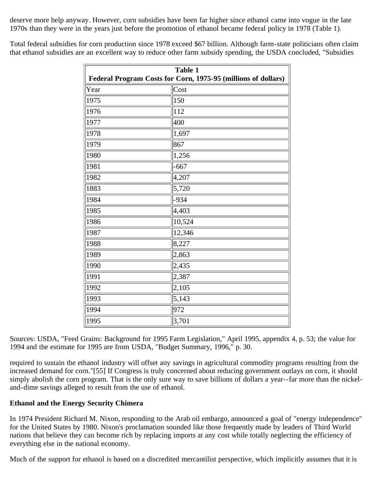deserve more help anyway. However, corn subsidies have been far higher since ethanol came into vogue in the late 1970s than they were in the years just before the promotion of ethanol became federal policy in 1978 (Table 1).

Total federal subsidies for corn production since 1978 exceed \$67 billion. Although farm-state politicians often claim that ethanol subsidies are an excellent way to reduce other farm subsidy spending, the USDA concluded, "Subsidies

| <b>Table 1</b><br>Federal Program Costs for Corn, 1975-95 (millions of dollars) |              |
|---------------------------------------------------------------------------------|--------------|
| Year                                                                            | $\vert$ Cost |
| 1975                                                                            | 150          |
| 1976                                                                            | 112          |
| 1977                                                                            | 400          |
| 1978                                                                            | 1,697        |
| 1979                                                                            | 867          |
| 1980                                                                            | 1,256        |
| 1981                                                                            | $-667$       |
| 1982                                                                            | 4,207        |
| 1883                                                                            | 5,720        |
| 1984                                                                            | $-934$       |
| 1985                                                                            | 4,403        |
| 1986                                                                            | 10,524       |
| 1987                                                                            | 12,346       |
| 1988                                                                            | 8,227        |
| 1989                                                                            | 2,863        |
| 1990                                                                            | 2,435        |
| 1991                                                                            | 2,387        |
| 1992                                                                            | 2,105        |
| 1993                                                                            | 5,143        |
| 1994                                                                            | 972          |
| 1995                                                                            | 3,701        |

Sources: USDA, "Feed Grains: Background for 1995 Farm Legislation," April 1995, appendix 4, p. 53; the value for 1994 and the estimate for 1995 are from USDA, "Budget Summary, 1996," p. 30.

required to sustain the ethanol industry will offset any savings in agricultural commodity programs resulting from the increased demand for corn."[55] If Congress is truly concerned about reducing government outlays on corn, it should simply abolish the corn program. That is the only sure way to save billions of dollars a year--far more than the nickeland-dime savings alleged to result from the use of ethanol.

### **Ethanol and the Energy Security Chimera**

In 1974 President Richard M. Nixon, responding to the Arab oil embargo, announced a goal of "energy independence" for the United States by 1980. Nixon's proclamation sounded like those frequently made by leaders of Third World nations that believe they can become rich by replacing imports at any cost while totally neglecting the efficiency of everything else in the national economy.

Much of the support for ethanol is based on a discredited mercantilist perspective, which implicitly assumes that it is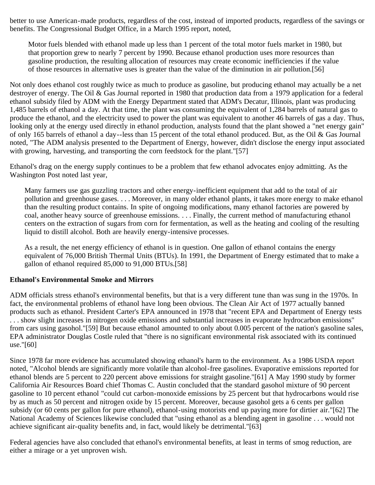better to use American-made products, regardless of the cost, instead of imported products, regardless of the savings or benefits. The Congressional Budget Office, in a March 1995 report, noted,

Motor fuels blended with ethanol made up less than 1 percent of the total motor fuels market in 1980, but that proportion grew to nearly 7 percent by 1990. Because ethanol production uses more resources than gasoline production, the resulting allocation of resources may create economic inefficiencies if the value of those resources in alternative uses is greater than the value of the diminution in air pollution.[56]

Not only does ethanol cost roughly twice as much to produce as gasoline, but producing ethanol may actually be a net destroyer of energy. The Oil & Gas Journal reported in 1980 that production data from a 1979 application for a federal ethanol subsidy filed by ADM with the Energy Department stated that ADM's Decatur, Illinois, plant was producing 1,485 barrels of ethanol a day. At that time, the plant was consuming the equivalent of 1,284 barrels of natural gas to produce the ethanol, and the electricity used to power the plant was equivalent to another 46 barrels of gas a day. Thus, looking only at the energy used directly in ethanol production, analysts found that the plant showed a "net energy gain" of only 165 barrels of ethanol a day--less than 15 percent of the total ethanol produced. But, as the Oil & Gas Journal noted, "The ADM analysis presented to the Department of Energy, however, didn't disclose the energy input associated with growing, harvesting, and transporting the corn feedstock for the plant."[57]

Ethanol's drag on the energy supply continues to be a problem that few ethanol advocates enjoy admitting. As the Washington Post noted last year,

Many farmers use gas guzzling tractors and other energy-inefficient equipment that add to the total of air pollution and greenhouse gases. . . . Moreover, in many older ethanol plants, it takes more energy to make ethanol than the resulting product contains. In spite of ongoing modifications, many ethanol factories are powered by coal, another heavy source of greenhouse emissions. . . . Finally, the current method of manufacturing ethanol centers on the extraction of sugars from corn for fermentation, as well as the heating and cooling of the resulting liquid to distill alcohol. Both are heavily energy-intensive processes.

As a result, the net energy efficiency of ethanol is in question. One gallon of ethanol contains the energy equivalent of 76,000 British Thermal Units (BTUs). In 1991, the Department of Energy estimated that to make a gallon of ethanol required 85,000 to 91,000 BTUs.[58]

### **Ethanol's Environmental Smoke and Mirrors**

ADM officials stress ethanol's environmental benefits, but that is a very different tune than was sung in the 1970s. In fact, the environmental problems of ethanol have long been obvious. The Clean Air Act of 1977 actually banned products such as ethanol. President Carter's EPA announced in 1978 that "recent EPA and Department of Energy tests . . . show slight increases in nitrogen oxide emissions and substantial increases in evaporate hydrocarbon emissions" from cars using gasohol."[59] But because ethanol amounted to only about 0.005 percent of the nation's gasoline sales, EPA administrator Douglas Costle ruled that "there is no significant environmental risk associated with its continued use."[60]

Since 1978 far more evidence has accumulated showing ethanol's harm to the environment. As a 1986 USDA report noted, "Alcohol blends are significantly more volatile than alcohol-free gasolines. Evaporative emissions reported for ethanol blends are 5 percent to 220 percent above emissions for straight gasoline."[61] A May 1990 study by former California Air Resources Board chief Thomas C. Austin concluded that the standard gasohol mixture of 90 percent gasoline to 10 percent ethanol "could cut carbon-monoxide emissions by 25 percent but that hydrocarbons would rise by as much as 50 percent and nitrogen oxide by 15 percent. Moreover, because gasohol gets a 6 cents per gallon subsidy (or 60 cents per gallon for pure ethanol), ethanol-using motorists end up paying more for dirtier air."[62] The National Academy of Sciences likewise concluded that "using ethanol as a blending agent in gasoline . . . would not achieve significant air-quality benefits and, in fact, would likely be detrimental."[63]

Federal agencies have also concluded that ethanol's environmental benefits, at least in terms of smog reduction, are either a mirage or a yet unproven wish.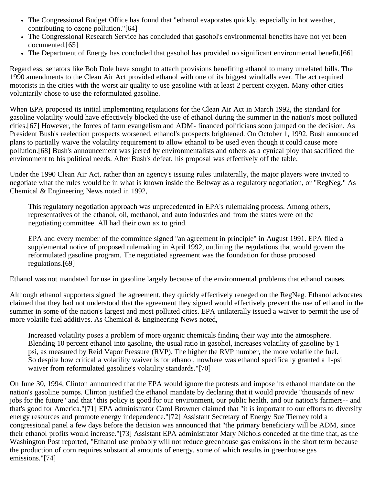- The Congressional Budget Office has found that "ethanol evaporates quickly, especially in hot weather, contributing to ozone pollution."[64]
- The Congressional Research Service has concluded that gasohol's environmental benefits have not yet been documented.[65]
- The Department of Energy has concluded that gasohol has provided no significant environmental benefit.[66]

Regardless, senators like Bob Dole have sought to attach provisions benefiting ethanol to many unrelated bills. The 1990 amendments to the Clean Air Act provided ethanol with one of its biggest windfalls ever. The act required motorists in the cities with the worst air quality to use gasoline with at least 2 percent oxygen. Many other cities voluntarily chose to use the reformulated gasoline.

When EPA proposed its initial implementing regulations for the Clean Air Act in March 1992, the standard for gasoline volatility would have effectively blocked the use of ethanol during the summer in the nation's most polluted cities.[67] However, the forces of farm evangelism and ADM- financed politicians soon jumped on the decision. As President Bush's reelection prospects worsened, ethanol's prospects brightened. On October 1, 1992, Bush announced plans to partially waive the volatility requirement to allow ethanol to be used even though it could cause more pollution.[68] Bush's announcement was jeered by environmentalists and others as a cynical ploy that sacrificed the environment to his political needs. After Bush's defeat, his proposal was effectively off the table.

Under the 1990 Clean Air Act, rather than an agency's issuing rules unilaterally, the major players were invited to negotiate what the rules would be in what is known inside the Beltway as a regulatory negotiation, or "RegNeg." As Chemical & Engineering News noted in 1992,

This regulatory negotiation approach was unprecedented in EPA's rulemaking process. Among others, representatives of the ethanol, oil, methanol, and auto industries and from the states were on the negotiating committee. All had their own ax to grind.

EPA and every member of the committee signed "an agreement in principle" in August 1991. EPA filed a supplemental notice of proposed rulemaking in April 1992, outlining the regulations that would govern the reformulated gasoline program. The negotiated agreement was the foundation for those proposed regulations.[69]

Ethanol was not mandated for use in gasoline largely because of the environmental problems that ethanol causes.

Although ethanol supporters signed the agreement, they quickly effectively reneged on the RegNeg. Ethanol advocates claimed that they had not understood that the agreement they signed would effectively prevent the use of ethanol in the summer in some of the nation's largest and most polluted cities. EPA unilaterally issued a waiver to permit the use of more volatile fuel additives. As Chemical & Engineering News noted,

Increased volatility poses a problem of more organic chemicals finding their way into the atmosphere. Blending 10 percent ethanol into gasoline, the usual ratio in gasohol, increases volatility of gasoline by 1 psi, as measured by Reid Vapor Pressure (RVP). The higher the RVP number, the more volatile the fuel. So despite how critical a volatility waiver is for ethanol, nowhere was ethanol specifically granted a 1-psi waiver from reformulated gasoline's volatility standards."[70]

On June 30, 1994, Clinton announced that the EPA would ignore the protests and impose its ethanol mandate on the nation's gasoline pumps. Clinton justified the ethanol mandate by declaring that it would provide "thousands of new jobs for the future" and that "this policy is good for our environment, our public health, and our nation's farmers-- and that's good for America."[71] EPA administrator Carol Browner claimed that "it is important to our efforts to diversify energy resources and promote energy independence."[72] Assistant Secretary of Energy Sue Tierney told a congressional panel a few days before the decision was announced that "the primary beneficiary will be ADM, since their ethanol profits would increase."[73] Assistant EPA administrator Mary Nichols conceded at the time that, as the Washington Post reported, "Ethanol use probably will not reduce greenhouse gas emissions in the short term because the production of corn requires substantial amounts of energy, some of which results in greenhouse gas emissions."[74]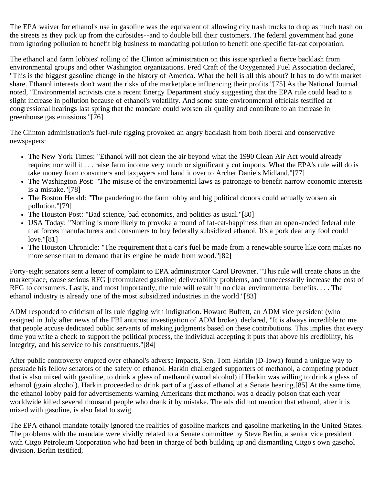The EPA waiver for ethanol's use in gasoline was the equivalent of allowing city trash trucks to drop as much trash on the streets as they pick up from the curbsides--and to double bill their customers. The federal government had gone from ignoring pollution to benefit big business to mandating pollution to benefit one specific fat-cat corporation.

The ethanol and farm lobbies' rolling of the Clinton administration on this issue sparked a fierce backlash from environmental groups and other Washington organizations. Fred Craft of the Oxygenated Fuel Association declared, "This is the biggest gasoline change in the history of America. What the hell is all this about? It has to do with market share. Ethanol interests don't want the risks of the marketplace influencing their profits."[75] As the National Journal noted, "Environmental activists cite a recent Energy Department study suggesting that the EPA rule could lead to a slight increase in pollution because of ethanol's volatility. And some state environmental officials testified at congressional hearings last spring that the mandate could worsen air quality and contribute to an increase in greenhouse gas emissions."[76]

The Clinton administration's fuel-rule rigging provoked an angry backlash from both liberal and conservative newspapers:

- The New York Times: "Ethanol will not clean the air beyond what the 1990 Clean Air Act would already require; nor will it . . . raise farm income very much or significantly cut imports. What the EPA's rule will do is take money from consumers and taxpayers and hand it over to Archer Daniels Midland."[77]
- The Washington Post: "The misuse of the environmental laws as patronage to benefit narrow economic interests is a mistake."[78]
- The Boston Herald: "The pandering to the farm lobby and big political donors could actually worsen air pollution."[79]
- The Houston Post: "Bad science, bad economics, and politics as usual."[80]
- USA Today: "Nothing is more likely to provoke a round of fat-cat-happiness than an open-ended federal rule that forces manufacturers and consumers to buy federally subsidized ethanol. It's a pork deal any fool could love."[81]
- The Houston Chronicle: "The requirement that a car's fuel be made from a renewable source like corn makes no more sense than to demand that its engine be made from wood."[82]

Forty-eight senators sent a letter of complaint to EPA administrator Carol Browner. "This rule will create chaos in the marketplace, cause serious RFG [reformulated gasoline] deliverability problems, and unnecessarily increase the cost of RFG to consumers. Lastly, and most importantly, the rule will result in no clear environmental benefits. . . . The ethanol industry is already one of the most subsidized industries in the world."[83]

ADM responded to criticism of its rule rigging with indignation. Howard Buffett, an ADM vice president (who resigned in July after news of the FBI antitrust investigation of ADM broke), declared, "It is always incredible to me that people accuse dedicated public servants of making judgments based on these contributions. This implies that every time you write a check to support the political process, the individual accepting it puts that above his credibility, his integrity, and his service to his constituents."[84]

After public controversy erupted over ethanol's adverse impacts, Sen. Tom Harkin (D-Iowa) found a unique way to persuade his fellow senators of the safety of ethanol. Harkin challenged supporters of methanol, a competing product that is also mixed with gasoline, to drink a glass of methanol (wood alcohol) if Harkin was willing to drink a glass of ethanol (grain alcohol). Harkin proceeded to drink part of a glass of ethanol at a Senate hearing.[85] At the same time, the ethanol lobby paid for advertisements warning Americans that methanol was a deadly poison that each year worldwide killed several thousand people who drank it by mistake. The ads did not mention that ethanol, after it is mixed with gasoline, is also fatal to swig.

The EPA ethanol mandate totally ignored the realities of gasoline markets and gasoline marketing in the United States. The problems with the mandate were vividly related to a Senate committee by Steve Berlin, a senior vice president with Citgo Petroleum Corporation who had been in charge of both building up and dismantling Citgo's own gasohol division. Berlin testified,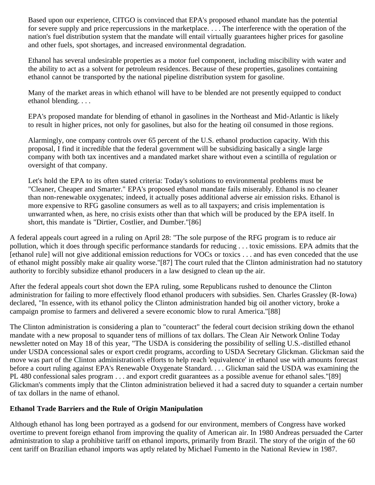Based upon our experience, CITGO is convinced that EPA's proposed ethanol mandate has the potential for severe supply and price repercussions in the marketplace. . . . The interference with the operation of the nation's fuel distribution system that the mandate will entail virtually guarantees higher prices for gasoline and other fuels, spot shortages, and increased environmental degradation.

Ethanol has several undesirable properties as a motor fuel component, including miscibility with water and the ability to act as a solvent for petroleum residences. Because of these properties, gasolines containing ethanol cannot be transported by the national pipeline distribution system for gasoline.

Many of the market areas in which ethanol will have to be blended are not presently equipped to conduct ethanol blending. . . .

EPA's proposed mandate for blending of ethanol in gasolines in the Northeast and Mid-Atlantic is likely to result in higher prices, not only for gasolines, but also for the heating oil consumed in those regions.

Alarmingly, one company controls over 65 percent of the U.S. ethanol production capacity. With this proposal, I find it incredible that the federal government will be subsidizing basically a single large company with both tax incentives and a mandated market share without even a scintilla of regulation or oversight of that company.

Let's hold the EPA to its often stated criteria: Today's solutions to environmental problems must be "Cleaner, Cheaper and Smarter." EPA's proposed ethanol mandate fails miserably. Ethanol is no cleaner than non-renewable oxygenates; indeed, it actually poses additional adverse air emission risks. Ethanol is more expensive to RFG gasoline consumers as well as to all taxpayers; and crisis implementation is unwarranted when, as here, no crisis exists other than that which will be produced by the EPA itself. In short, this mandate is "Dirtier, Costlier, and Dumber."[86]

A federal appeals court agreed in a ruling on April 28: "The sole purpose of the RFG program is to reduce air pollution, which it does through specific performance standards for reducing . . . toxic emissions. EPA admits that the [ethanol rule] will not give additional emission reductions for VOCs or toxics . . . and has even conceded that the use of ethanol might possibly make air quality worse."[87] The court ruled that the Clinton administration had no statutory authority to forcibly subsidize ethanol producers in a law designed to clean up the air.

After the federal appeals court shot down the EPA ruling, some Republicans rushed to denounce the Clinton administration for failing to more effectively flood ethanol producers with subsidies. Sen. Charles Grassley (R-Iowa) declared, "In essence, with its ethanol policy the Clinton administration handed big oil another victory, broke a campaign promise to farmers and delivered a severe economic blow to rural America."[88]

The Clinton administration is considering a plan to "counteract" the federal court decision striking down the ethanol mandate with a new proposal to squander tens of millions of tax dollars. The Clean Air Network Online Today newsletter noted on May 18 of this year, "The USDA is considering the possibility of selling U.S.-distilled ethanol under USDA concessional sales or export credit programs, according to USDA Secretary Glickman. Glickman said the move was part of the Clinton administration's efforts to help reach 'equivalence' in ethanol use with amounts forecast before a court ruling against EPA's Renewable Oxygenate Standard. . . . Glickman said the USDA was examining the PL 480 confessional sales program . . . and export credit guarantees as a possible avenue for ethanol sales."[89] Glickman's comments imply that the Clinton administration believed it had a sacred duty to squander a certain number of tax dollars in the name of ethanol.

### **Ethanol Trade Barriers and the Rule of Origin Manipulation**

Although ethanol has long been portrayed as a godsend for our environment, members of Congress have worked overtime to prevent foreign ethanol from improving the quality of American air. In 1980 Andreas persuaded the Carter administration to slap a prohibitive tariff on ethanol imports, primarily from Brazil. The story of the origin of the 60 cent tariff on Brazilian ethanol imports was aptly related by Michael Fumento in the National Review in 1987.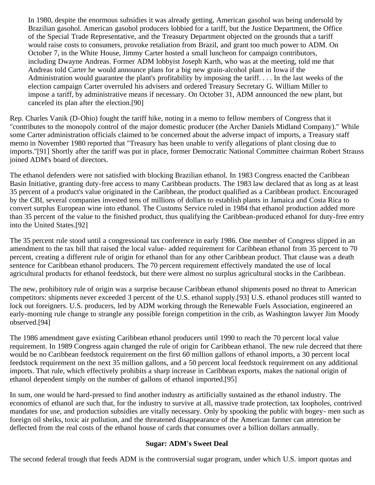In 1980, despite the enormous subsidies it was already getting, American gasohol was being undersold by Brazilian gasohol. American gasohol producers lobbied for a tariff, but the Justice Department, the Office of the Special Trade Representative, and the Treasury Department objected on the grounds that a tariff would raise costs to consumers, provoke retaliation from Brazil, and grant too much power to ADM. On October 7, in the White House, Jimmy Carter hosted a small luncheon for campaign contributors, including Dwayne Andreas. Former ADM lobbyist Joseph Karth, who was at the meeting, told me that Andreas told Carter he would announce plans for a big new grain-alcohol plant in Iowa if the Administration would guarantee the plant's profitability by imposing the tariff. . . . In the last weeks of the election campaign Carter overruled his advisers and ordered Treasury Secretary G. William Miller to impose a tariff, by administrative means if necessary. On October 31, ADM announced the new plant, but canceled its plan after the election.[90]

Rep. Charles Vanik (D-Ohio) fought the tariff hike, noting in a memo to fellow members of Congress that it "contributes to the monopoly control of the major domestic producer (the Archer Daniels Midland Company)." While some Carter administration officials claimed to be concerned about the adverse impact of imports, a Treasury staff memo in November 1980 reported that "Treasury has been unable to verify allegations of plant closing due to imports."[91] Shortly after the tariff was put in place, former Democratic National Committee chairman Robert Strauss joined ADM's board of directors.

The ethanol defenders were not satisfied with blocking Brazilian ethanol. In 1983 Congress enacted the Caribbean Basin Initiative, granting duty-free access to many Caribbean products. The 1983 law declared that as long as at least 35 percent of a product's value originated in the Caribbean, the product qualified as a Caribbean product. Encouraged by the CBI, several companies invested tens of millions of dollars to establish plants in Jamaica and Costa Rica to convert surplus European wine into ethanol. The Customs Service ruled in 1984 that ethanol production added more than 35 percent of the value to the finished product, thus qualifying the Caribbean-produced ethanol for duty-free entry into the United States.[92]

The 35 percent rule stood until a congressional tax conference in early 1986. One member of Congress slipped in an amendment to the tax bill that raised the local value- added requirement for Caribbean ethanol from 35 percent to 70 percent, creating a different rule of origin for ethanol than for any other Caribbean product. That clause was a death sentence for Caribbean ethanol producers. The 70 percent requirement effectively mandated the use of local agricultural products for ethanol feedstock, but there were almost no surplus agricultural stocks in the Caribbean.

The new, prohibitory rule of origin was a surprise because Caribbean ethanol shipments posed no threat to American competitors: shipments never exceeded 3 percent of the U.S. ethanol supply.[93] U.S. ethanol produces still wanted to lock out foreigners. U.S. producers, led by ADM working through the Renewable Fuels Association, engineered an early-morning rule change to strangle any possible foreign competition in the crib, as Washington lawyer Jim Moody observed.[94]

The 1986 amendment gave existing Caribbean ethanol producers until 1990 to reach the 70 percent local value requirement. In 1989 Congress again changed the rule of origin for Caribbean ethanol. The new rule decreed that there would be no Caribbean feedstock requirement on the first 60 million gallons of ethanol imports, a 30 percent local feedstock requirement on the next 35 million gallons, and a 50 percent local feedstock requirement on any additional imports. That rule, which effectively prohibits a sharp increase in Caribbean exports, makes the national origin of ethanol dependent simply on the number of gallons of ethanol imported.[95]

In sum, one would be hard-pressed to find another industry as artificially sustained as the ethanol industry. The economics of ethanol are such that, for the industry to survive at all, massive trade protection, tax loopholes, contrived mandates for use, and production subsidies are vitally necessary. Only by spooking the public with bogey- men such as foreign oil sheiks, toxic air pollution, and the threatened disappearance of the American farmer can attention be deflected from the real costs of the ethanol house of cards that consumes over a billion dollars annually.

### **Sugar: ADM's Sweet Deal**

The second federal trough that feeds ADM is the controversial sugar program, under which U.S. import quotas and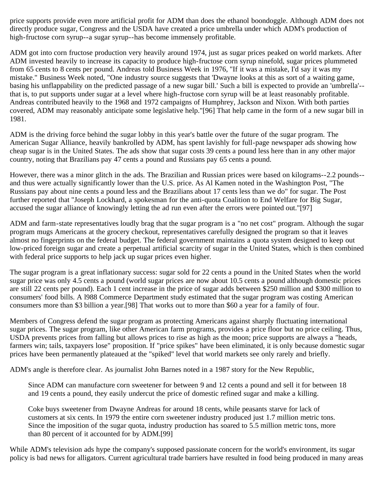price supports provide even more artificial profit for ADM than does the ethanol boondoggle. Although ADM does not directly produce sugar, Congress and the USDA have created a price umbrella under which ADM's production of high-fructose corn syrup--a sugar syrup--has become immensely profitable.

ADM got into corn fructose production very heavily around 1974, just as sugar prices peaked on world markets. After ADM invested heavily to increase its capacity to produce high-fructose corn syrup ninefold, sugar prices plummeted from 65 cents to 8 cents per pound. Andreas told Business Week in 1976, "If it was a mistake, I'd say it was my mistake." Business Week noted, "One industry source suggests that 'Dwayne looks at this as sort of a waiting game, basing his unflappability on the predicted passage of a new sugar bill.' Such a bill is expected to provide an 'umbrella'- that is, to put supports under sugar at a level where high-fructose corn syrup will be at least reasonably profitable. Andreas contributed heavily to the 1968 and 1972 campaigns of Humphrey, Jackson and Nixon. With both parties covered, ADM may reasonably anticipate some legislative help."[96] That help came in the form of a new sugar bill in 1981.

ADM is the driving force behind the sugar lobby in this year's battle over the future of the sugar program. The American Sugar Alliance, heavily bankrolled by ADM, has spent lavishly for full-page newspaper ads showing how cheap sugar is in the United States. The ads show that sugar costs 39 cents a pound less here than in any other major country, noting that Brazilians pay 47 cents a pound and Russians pay 65 cents a pound.

However, there was a minor glitch in the ads. The Brazilian and Russian prices were based on kilograms--2.2 pounds- and thus were actually significantly lower than the U.S. price. As Al Kamen noted in the Washington Post, "The Russians pay about nine cents a pound less and the Brazilians about 17 cents less than we do" for sugar. The Post further reported that "Joseph Lockhard, a spokesman for the anti-quota Coalition to End Welfare for Big Sugar, accused the sugar alliance of knowingly letting the ad run even after the errors were pointed out."[97]

ADM and farm-state representatives loudly brag that the sugar program is a "no net cost" program. Although the sugar program mugs Americans at the grocery checkout, representatives carefully designed the program so that it leaves almost no fingerprints on the federal budget. The federal government maintains a quota system designed to keep out low-priced foreign sugar and create a perpetual artificial scarcity of sugar in the United States, which is then combined with federal price supports to help jack up sugar prices even higher.

The sugar program is a great inflationary success: sugar sold for 22 cents a pound in the United States when the world sugar price was only 4.5 cents a pound (world sugar prices are now about 10.5 cents a pound although domestic prices are still 22 cents per pound). Each 1 cent increase in the price of sugar adds between \$250 million and \$300 million to consumers' food bills. A l988 Commerce Department study estimated that the sugar program was costing American consumers more than \$3 billion a year.[98] That works out to more than \$60 a year for a family of four.

Members of Congress defend the sugar program as protecting Americans against sharply fluctuating international sugar prices. The sugar program, like other American farm programs, provides a price floor but no price ceiling. Thus, USDA prevents prices from falling but allows prices to rise as high as the moon; price supports are always a "heads, farmers win; tails, taxpayers lose" proposition. If "price spikes" have been eliminated, it is only because domestic sugar prices have been permanently plateaued at the "spiked" level that world markets see only rarely and briefly.

ADM's angle is therefore clear. As journalist John Barnes noted in a 1987 story for the New Republic,

Since ADM can manufacture corn sweetener for between 9 and 12 cents a pound and sell it for between 18 and 19 cents a pound, they easily undercut the price of domestic refined sugar and make a killing.

Coke buys sweetener from Dwayne Andreas for around 18 cents, while peasants starve for lack of customers at six cents. In 1979 the entire corn sweetener industry produced just 1.7 million metric tons. Since the imposition of the sugar quota, industry production has soared to 5.5 million metric tons, more than 80 percent of it accounted for by ADM.[99]

While ADM's television ads hype the company's supposed passionate concern for the world's environment, its sugar policy is bad news for alligators. Current agricultural trade barriers have resulted in food being produced in many areas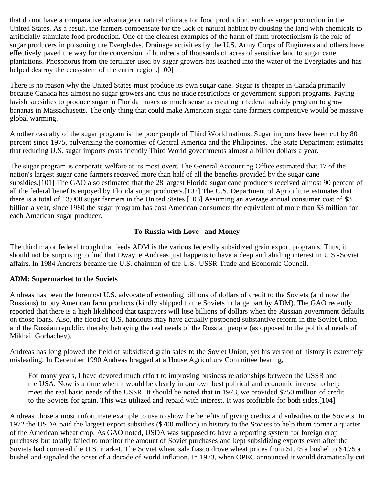that do not have a comparative advantage or natural climate for food production, such as sugar production in the United States. As a result, the farmers compensate for the lack of natural habitat by dousing the land with chemicals to artificially stimulate food production. One of the clearest examples of the harm of farm protectionism is the role of sugar producers in poisoning the Everglades. Drainage activities by the U.S. Army Corps of Engineers and others have effectively paved the way for the conversion of hundreds of thousands of acres of sensitive land to sugar cane plantations. Phosphorus from the fertilizer used by sugar growers has leached into the water of the Everglades and has helped destroy the ecosystem of the entire region.[100]

There is no reason why the United States must produce its own sugar cane. Sugar is cheaper in Canada primarily because Canada has almost no sugar growers and thus no trade restrictions or government support programs. Paying lavish subsidies to produce sugar in Florida makes as much sense as creating a federal subsidy program to grow bananas in Massachusetts. The only thing that could make American sugar cane farmers competitive would be massive global warming.

Another casualty of the sugar program is the poor people of Third World nations. Sugar imports have been cut by 80 percent since 1975, pulverizing the economies of Central America and the Philippines. The State Department estimates that reducing U.S. sugar imports costs friendly Third World governments almost a billion dollars a year.

The sugar program is corporate welfare at its most overt. The General Accounting Office estimated that 17 of the nation's largest sugar cane farmers received more than half of all the benefits provided by the sugar cane subsidies.[101] The GAO also estimated that the 28 largest Florida sugar cane producers received almost 90 percent of all the federal benefits enjoyed by Florida sugar producers.[102] The U.S. Department of Agriculture estimates that there is a total of 13,000 sugar farmers in the United States.[103] Assuming an average annual consumer cost of \$3 billion a year, since 1980 the sugar program has cost American consumers the equivalent of more than \$3 million for each American sugar producer.

### **To Russia with Love--and Money**

The third major federal trough that feeds ADM is the various federally subsidized grain export programs. Thus, it should not be surprising to find that Dwayne Andreas just happens to have a deep and abiding interest in U.S.-Soviet affairs. In 1984 Andreas became the U.S. chairman of the U.S.-USSR Trade and Economic Council.

### **ADM: Supermarket to the Soviets**

Andreas has been the foremost U.S. advocate of extending billions of dollars of credit to the Soviets (and now the Russians) to buy American farm products (kindly shipped to the Soviets in large part by ADM). The GAO recently reported that there is a high likelihood that taxpayers will lose billions of dollars when the Russian government defaults on those loans. Also, the flood of U.S. handouts may have actually postponed substantive reform in the Soviet Union and the Russian republic, thereby betraying the real needs of the Russian people (as opposed to the political needs of Mikhail Gorbachev).

Andreas has long plowed the field of subsidized grain sales to the Soviet Union, yet his version of history is extremely misleading. In December 1990 Andreas bragged at a House Agriculture Committee hearing,

For many years, I have devoted much effort to improving business relationships between the USSR and the USA. Now is a time when it would be clearly in our own best political and economic interest to help meet the real basic needs of the USSR. It should be noted that in 1973, we provided \$750 million of credit to the Soviets for grain. This was utilized and repaid with interest. It was profitable for both sides.[104]

Andreas chose a most unfortunate example to use to show the benefits of giving credits and subsidies to the Soviets. In 1972 the USDA paid the largest export subsidies (\$700 million) in history to the Soviets to help them corner a quarter of the American wheat crop. As GAO noted, USDA was supposed to have a reporting system for foreign crop purchases but totally failed to monitor the amount of Soviet purchases and kept subsidizing exports even after the Soviets had cornered the U.S. market. The Soviet wheat sale fiasco drove wheat prices from \$1.25 a bushel to \$4.75 a bushel and signaled the onset of a decade of world inflation. In 1973, when OPEC announced it would dramatically cut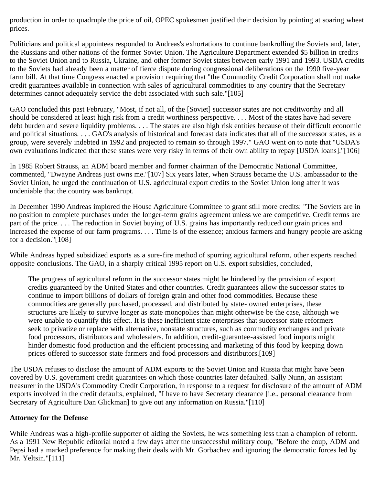production in order to quadruple the price of oil, OPEC spokesmen justified their decision by pointing at soaring wheat prices.

Politicians and political appointees responded to Andreas's exhortations to continue bankrolling the Soviets and, later, the Russians and other nations of the former Soviet Union. The Agriculture Department extended \$5 billion in credits to the Soviet Union and to Russia, Ukraine, and other former Soviet states between early 1991 and 1993. USDA credits to the Soviets had already been a matter of fierce dispute during congressional deliberations on the 1990 five-year farm bill. At that time Congress enacted a provision requiring that "the Commodity Credit Corporation shall not make credit guarantees available in connection with sales of agricultural commodities to any country that the Secretary determines cannot adequately service the debt associated with such sale."[105]

GAO concluded this past February, "Most, if not all, of the [Soviet] successor states are not creditworthy and all should be considered at least high risk from a credit worthiness perspective. . . . Most of the states have had severe debt burden and severe liquidity problems. . . . The states are also high risk entities because of their difficult economic and political situations. . . . GAO's analysis of historical and forecast data indicates that all of the successor states, as a group, were severely indebted in 1992 and projected to remain so through 1997." GAO went on to note that "USDA's own evaluations indicated that these states were very risky in terms of their own ability to repay [USDA loans]."[106]

In 1985 Robert Strauss, an ADM board member and former chairman of the Democratic National Committee, commented, "Dwayne Andreas just owns me."[107] Six years later, when Strauss became the U.S. ambassador to the Soviet Union, he urged the continuation of U.S. agricultural export credits to the Soviet Union long after it was undeniable that the country was bankrupt.

In December 1990 Andreas implored the House Agriculture Committee to grant still more credits: "The Soviets are in no position to complete purchases under the longer-term grains agreement unless we are competitive. Credit terms are part of the price. . . . The reduction in Soviet buying of U.S. grains has importantly reduced our grain prices and increased the expense of our farm programs. . . . Time is of the essence; anxious farmers and hungry people are asking for a decision."[108]

While Andreas hyped subsidized exports as a sure-fire method of spurring agricultural reform, other experts reached opposite conclusions. The GAO, in a sharply critical 1995 report on U.S. export subsidies, concluded,

The progress of agricultural reform in the successor states might be hindered by the provision of export credits guaranteed by the United States and other countries. Credit guarantees allow the successor states to continue to import billions of dollars of foreign grain and other food commodities. Because these commodities are generally purchased, processed, and distributed by state- owned enterprises, these structures are likely to survive longer as state monopolies than might otherwise be the case, although we were unable to quantify this effect. It is these inefficient state enterprises that successor state reformers seek to privatize or replace with alternative, nonstate structures, such as commodity exchanges and private food processors, distributors and wholesalers. In addition, credit-guarantee-assisted food imports might hinder domestic food production and the efficient processing and marketing of this food by keeping down prices offered to successor state farmers and food processors and distributors.[109]

The USDA refuses to disclose the amount of ADM exports to the Soviet Union and Russia that might have been covered by U.S. government credit guarantees on which those countries later defaulted. Sally Nunn, an assistant treasurer in the USDA's Commodity Credit Corporation, in response to a request for disclosure of the amount of ADM exports involved in the credit defaults, explained, "I have to have Secretary clearance [i.e., personal clearance from Secretary of Agriculture Dan Glickman] to give out any information on Russia."[110]

### **Attorney for the Defense**

While Andreas was a high-profile supporter of aiding the Soviets, he was something less than a champion of reform. As a 1991 New Republic editorial noted a few days after the unsuccessful military coup, "Before the coup, ADM and Pepsi had a marked preference for making their deals with Mr. Gorbachev and ignoring the democratic forces led by Mr. Yeltsin."[111]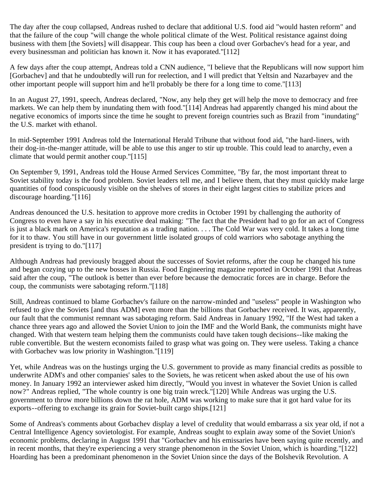The day after the coup collapsed, Andreas rushed to declare that additional U.S. food aid "would hasten reform" and that the failure of the coup "will change the whole political climate of the West. Political resistance against doing business with them [the Soviets] will disappear. This coup has been a cloud over Gorbachev's head for a year, and every businessman and politician has known it. Now it has evaporated."[112]

A few days after the coup attempt, Andreas told a CNN audience, "I believe that the Republicans will now support him [Gorbachev] and that he undoubtedly will run for reelection, and I will predict that Yeltsin and Nazarbayev and the other important people will support him and he'll probably be there for a long time to come."[113]

In an August 27, 1991, speech, Andreas declared, "Now, any help they get will help the move to democracy and free markets. We can help them by inundating them with food."[114] Andreas had apparently changed his mind about the negative economics of imports since the time he sought to prevent foreign countries such as Brazil from "inundating" the U.S. market with ethanol.

In mid-September 1991 Andreas told the International Herald Tribune that without food aid, "the hard-liners, with their dog-in-the-manger attitude, will be able to use this anger to stir up trouble. This could lead to anarchy, even a climate that would permit another coup."[115]

On September 9, 1991, Andreas told the House Armed Services Committee, "By far, the most important threat to Soviet stability today is the food problem. Soviet leaders tell me, and I believe them, that they must quickly make large quantities of food conspicuously visible on the shelves of stores in their eight largest cities to stabilize prices and discourage hoarding."[116]

Andreas denounced the U.S. hesitation to approve more credits in October 1991 by challenging the authority of Congress to even have a say in his executive deal making: "The fact that the President had to go for an act of Congress is just a black mark on America's reputation as a trading nation. . . . The Cold War was very cold. It takes a long time for it to thaw. You still have in our government little isolated groups of cold warriors who sabotage anything the president is trying to do."[117]

Although Andreas had previously bragged about the successes of Soviet reforms, after the coup he changed his tune and began cozying up to the new bosses in Russia. Food Engineering magazine reported in October 1991 that Andreas said after the coup, "The outlook is better than ever before because the democratic forces are in charge. Before the coup, the communists were sabotaging reform."[118]

Still, Andreas continued to blame Gorbachev's failure on the narrow-minded and "useless" people in Washington who refused to give the Soviets [and thus ADM] even more than the billions that Gorbachev received. It was, apparently, our fault that the communist remnant was sabotaging reform. Said Andreas in January 1992, "If the West had taken a chance three years ago and allowed the Soviet Union to join the IMF and the World Bank, the communists might have changed. With that western team helping them the communists could have taken tough decisions--like making the ruble convertible. But the western economists failed to grasp what was going on. They were useless. Taking a chance with Gorbachev was low priority in Washington."[119]

Yet, while Andreas was on the hustings urging the U.S. government to provide as many financial credits as possible to underwrite ADM's and other companies' sales to the Soviets, he was reticent when asked about the use of his own money. In January 1992 an interviewer asked him directly, "Would you invest in whatever the Soviet Union is called now?" Andreas replied, "The whole country is one big train wreck."[120] While Andreas was urging the U.S. government to throw more billions down the rat hole, ADM was working to make sure that it got hard value for its exports--offering to exchange its grain for Soviet-built cargo ships.[121]

Some of Andreas's comments about Gorbachev display a level of credulity that would embarrass a six year old, if not a Central Intelligence Agency sovietologist. For example, Andreas sought to explain away some of the Soviet Union's economic problems, declaring in August 1991 that "Gorbachev and his emissaries have been saying quite recently, and in recent months, that they're experiencing a very strange phenomenon in the Soviet Union, which is hoarding."[122] Hoarding has been a predominant phenomenon in the Soviet Union since the days of the Bolshevik Revolution. A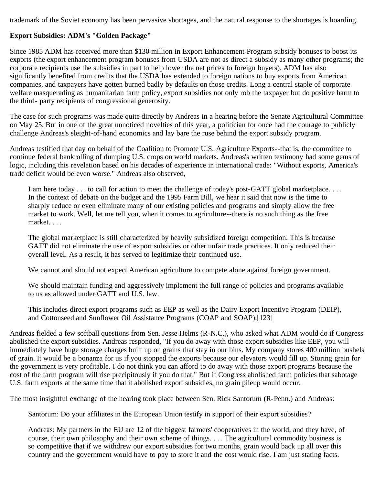trademark of the Soviet economy has been pervasive shortages, and the natural response to the shortages is hoarding.

## **Export Subsidies: ADM's "Golden Package"**

Since 1985 ADM has received more than \$130 million in Export Enhancement Program subsidy bonuses to boost its exports (the export enhancement program bonuses from USDA are not as direct a subsidy as many other programs; the corporate recipients use the subsidies in part to help lower the net prices to foreign buyers). ADM has also significantly benefited from credits that the USDA has extended to foreign nations to buy exports from American companies, and taxpayers have gotten burned badly by defaults on those credits. Long a central staple of corporate welfare masquerading as humanitarian farm policy, export subsidies not only rob the taxpayer but do positive harm to the third- party recipients of congressional generosity.

The case for such programs was made quite directly by Andreas in a hearing before the Senate Agricultural Committee on May 25. But in one of the great unnoticed novelties of this year, a politician for once had the courage to publicly challenge Andreas's sleight-of-hand economics and lay bare the ruse behind the export subsidy program.

Andreas testified that day on behalf of the Coalition to Promote U.S. Agriculture Exports--that is, the committee to continue federal bankrolling of dumping U.S. crops on world markets. Andreas's written testimony had some gems of logic, including this revelation based on his decades of experience in international trade: "Without exports, America's trade deficit would be even worse." Andreas also observed,

I am here today . . . to call for action to meet the challenge of today's post-GATT global marketplace. . . . In the context of debate on the budget and the 1995 Farm Bill, we hear it said that now is the time to sharply reduce or even eliminate many of our existing policies and programs and simply allow the free market to work. Well, let me tell you, when it comes to agriculture--there is no such thing as the free market. . . .

The global marketplace is still characterized by heavily subsidized foreign competition. This is because GATT did not eliminate the use of export subsidies or other unfair trade practices. It only reduced their overall level. As a result, it has served to legitimize their continued use.

We cannot and should not expect American agriculture to compete alone against foreign government.

We should maintain funding and aggressively implement the full range of policies and programs available to us as allowed under GATT and U.S. law.

This includes direct export programs such as EEP as well as the Dairy Export Incentive Program (DEIP), and Cottonseed and Sunflower Oil Assistance Programs (COAP and SOAP).[123]

Andreas fielded a few softball questions from Sen. Jesse Helms (R-N.C.), who asked what ADM would do if Congress abolished the export subsidies. Andreas responded, "If you do away with those export subsidies like EEP, you will immediately have huge storage charges built up on grains that stay in our bins. My company stores 400 million bushels of grain. It would be a bonanza for us if you stopped the exports because our elevators would fill up. Storing grain for the government is very profitable. I do not think you can afford to do away with those export programs because the cost of the farm program will rise precipitously if you do that." But if Congress abolished farm policies that sabotage U.S. farm exports at the same time that it abolished export subsidies, no grain pileup would occur.

The most insightful exchange of the hearing took place between Sen. Rick Santorum (R-Penn.) and Andreas:

Santorum: Do your affiliates in the European Union testify in support of their export subsidies?

Andreas: My partners in the EU are 12 of the biggest farmers' cooperatives in the world, and they have, of course, their own philosophy and their own scheme of things. . . . The agricultural commodity business is so competitive that if we withdrew our export subsidies for two months, grain would back up all over this country and the government would have to pay to store it and the cost would rise. I am just stating facts.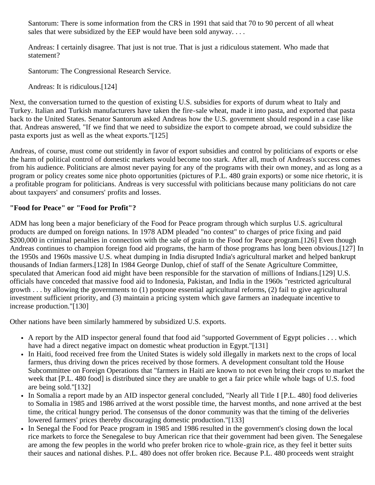Santorum: There is some information from the CRS in 1991 that said that 70 to 90 percent of all wheat sales that were subsidized by the EEP would have been sold anyway....

Andreas: I certainly disagree. That just is not true. That is just a ridiculous statement. Who made that statement?

Santorum: The Congressional Research Service.

Andreas: It is ridiculous.[124]

Next, the conversation turned to the question of existing U.S. subsidies for exports of durum wheat to Italy and Turkey. Italian and Turkish manufacturers have taken the fire-sale wheat, made it into pasta, and exported that pasta back to the United States. Senator Santorum asked Andreas how the U.S. government should respond in a case like that. Andreas answered, "If we find that we need to subsidize the export to compete abroad, we could subsidize the pasta exports just as well as the wheat exports."[125]

Andreas, of course, must come out stridently in favor of export subsidies and control by politicians of exports or else the harm of political control of domestic markets would become too stark. After all, much of Andreas's success comes from his audience. Politicians are almost never paying for any of the programs with their own money, and as long as a program or policy creates some nice photo opportunities (pictures of P.L. 480 grain exports) or some nice rhetoric, it is a profitable program for politicians. Andreas is very successful with politicians because many politicians do not care about taxpayers' and consumers' profits and losses.

### **"Food for Peace" or "Food for Profit"?**

ADM has long been a major beneficiary of the Food for Peace program through which surplus U.S. agricultural products are dumped on foreign nations. In 1978 ADM pleaded "no contest" to charges of price fixing and paid \$200,000 in criminal penalties in connection with the sale of grain to the Food for Peace program.[126] Even though Andreas continues to champion foreign food aid programs, the harm of those programs has long been obvious.[127] In the 1950s and 1960s massive U.S. wheat dumping in India disrupted India's agricultural market and helped bankrupt thousands of Indian farmers.[128] In 1984 George Dunlop, chief of staff of the Senate Agriculture Committee, speculated that American food aid might have been responsible for the starvation of millions of Indians.[129] U.S. officials have conceded that massive food aid to Indonesia, Pakistan, and India in the 1960s "restricted agricultural growth . . . by allowing the governments to (1) postpone essential agricultural reforms, (2) fail to give agricultural investment sufficient priority, and (3) maintain a pricing system which gave farmers an inadequate incentive to increase production."[130]

Other nations have been similarly hammered by subsidized U.S. exports.

- A report by the AID inspector general found that food aid "supported Government of Egypt policies . . . which have had a direct negative impact on domestic wheat production in Egypt."[131]
- In Haiti, food received free from the United States is widely sold illegally in markets next to the crops of local farmers, thus driving down the prices received by those formers. A development consultant told the House Subcommittee on Foreign Operations that "farmers in Haiti are known to not even bring their crops to market the week that [P.L. 480 food] is distributed since they are unable to get a fair price while whole bags of U.S. food are being sold."[132]
- In Somalia a report made by an AID inspector general concluded, "Nearly all Title I [P.L. 480] food deliveries to Somalia in 1985 and 1986 arrived at the worst possible time, the harvest months, and none arrived at the best time, the critical hungry period. The consensus of the donor community was that the timing of the deliveries lowered farmers' prices thereby discouraging domestic production."[133]
- In Senegal the Food for Peace program in 1985 and 1986 resulted in the government's closing down the local rice markets to force the Senegalese to buy American rice that their government had been given. The Senegalese are among the few peoples in the world who prefer broken rice to whole-grain rice, as they feel it better suits their sauces and national dishes. P.L. 480 does not offer broken rice. Because P.L. 480 proceeds went straight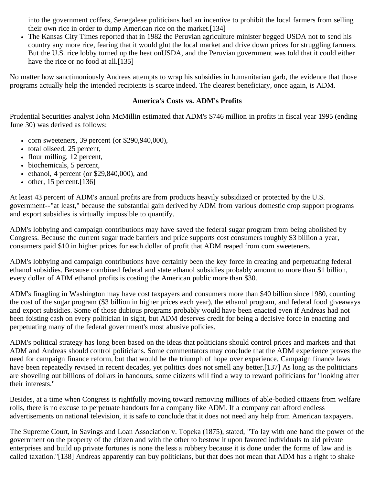into the government coffers, Senegalese politicians had an incentive to prohibit the local farmers from selling their own rice in order to dump American rice on the market.[134]

• The Kansas City Times reported that in 1982 the Peruvian agriculture minister begged USDA not to send his country any more rice, fearing that it would glut the local market and drive down prices for struggling farmers. But the U.S. rice lobby turned up the heat onUSDA, and the Peruvian government was told that it could either have the rice or no food at all.<sup>[135]</sup>

No matter how sanctimoniously Andreas attempts to wrap his subsidies in humanitarian garb, the evidence that those programs actually help the intended recipients is scarce indeed. The clearest beneficiary, once again, is ADM.

#### **America's Costs vs. ADM's Profits**

Prudential Securities analyst John McMillin estimated that ADM's \$746 million in profits in fiscal year 1995 (ending June 30) was derived as follows:

- corn sweeteners, 39 percent (or  $$290,940,000$ ),
- total oilseed, 25 percent,
- flour milling, 12 percent,
- biochemicals, 5 percent,
- $\bullet$  ethanol, 4 percent (or \$29,840,000), and
- $\bullet$  other, 15 percent.[136]

At least 43 percent of ADM's annual profits are from products heavily subsidized or protected by the U.S. government--"at least," because the substantial gain derived by ADM from various domestic crop support programs and export subsidies is virtually impossible to quantify.

ADM's lobbying and campaign contributions may have saved the federal sugar program from being abolished by Congress. Because the current sugar trade barriers and price supports cost consumers roughly \$3 billion a year, consumers paid \$10 in higher prices for each dollar of profit that ADM reaped from corn sweeteners.

ADM's lobbying and campaign contributions have certainly been the key force in creating and perpetuating federal ethanol subsidies. Because combined federal and state ethanol subsidies probably amount to more than \$1 billion, every dollar of ADM ethanol profits is costing the American public more than \$30.

ADM's finagling in Washington may have cost taxpayers and consumers more than \$40 billion since 1980, counting the cost of the sugar program (\$3 billion in higher prices each year), the ethanol program, and federal food giveaways and export subsidies. Some of those dubious programs probably would have been enacted even if Andreas had not been foisting cash on every politician in sight, but ADM deserves credit for being a decisive force in enacting and perpetuating many of the federal government's most abusive policies.

ADM's political strategy has long been based on the ideas that politicians should control prices and markets and that ADM and Andreas should control politicians. Some commentators may conclude that the ADM experience proves the need for campaign finance reform, but that would be the triumph of hope over experience. Campaign finance laws have been repeatedly revised in recent decades, yet politics does not smell any better.[137] As long as the politicians are shoveling out billions of dollars in handouts, some citizens will find a way to reward politicians for "looking after their interests."

Besides, at a time when Congress is rightfully moving toward removing millions of able-bodied citizens from welfare rolls, there is no excuse to perpetuate handouts for a company like ADM. If a company can afford endless advertisements on national television, it is safe to conclude that it does not need any help from American taxpayers.

The Supreme Court, in Savings and Loan Association v. Topeka (1875), stated, "To lay with one hand the power of the government on the property of the citizen and with the other to bestow it upon favored individuals to aid private enterprises and build up private fortunes is none the less a robbery because it is done under the forms of law and is called taxation."[138] Andreas apparently can buy politicians, but that does not mean that ADM has a right to shake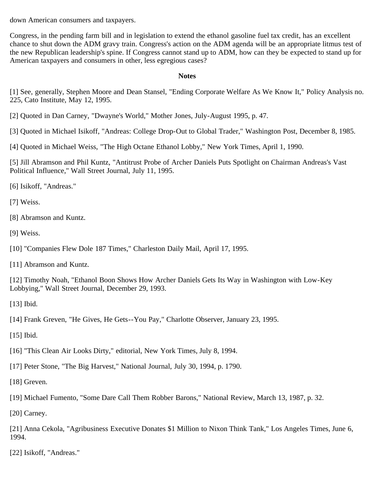down American consumers and taxpayers.

Congress, in the pending farm bill and in legislation to extend the ethanol gasoline fuel tax credit, has an excellent chance to shut down the ADM gravy train. Congress's action on the ADM agenda will be an appropriate litmus test of the new Republican leadership's spine. If Congress cannot stand up to ADM, how can they be expected to stand up for American taxpayers and consumers in other, less egregious cases?

#### **Notes**

[1] See, generally, Stephen Moore and Dean Stansel, "Ending Corporate Welfare As We Know It," Policy Analysis no. 225, Cato Institute, May 12, 1995.

[2] Quoted in Dan Carney, "Dwayne's World," Mother Jones, July-August 1995, p. 47.

[3] Quoted in Michael Isikoff, "Andreas: College Drop-Out to Global Trader," Washington Post, December 8, 1985.

[4] Quoted in Michael Weiss, "The High Octane Ethanol Lobby," New York Times, April 1, 1990.

[5] Jill Abramson and Phil Kuntz, "Antitrust Probe of Archer Daniels Puts Spotlight on Chairman Andreas's Vast Political Influence," Wall Street Journal, July 11, 1995.

[6] Isikoff, "Andreas."

[7] Weiss.

- [8] Abramson and Kuntz.
- [9] Weiss.
- [10] "Companies Flew Dole 187 Times," Charleston Daily Mail, April 17, 1995.

[11] Abramson and Kuntz.

[12] Timothy Noah, "Ethanol Boon Shows How Archer Daniels Gets Its Way in Washington with Low-Key Lobbying," Wall Street Journal, December 29, 1993.

[13] Ibid.

[14] Frank Greven, "He Gives, He Gets--You Pay," Charlotte Observer, January 23, 1995.

[15] Ibid.

- [16] "This Clean Air Looks Dirty," editorial, New York Times, July 8, 1994.
- [17] Peter Stone, "The Big Harvest," National Journal, July 30, 1994, p. 1790.
- [18] Greven.
- [19] Michael Fumento, "Some Dare Call Them Robber Barons," National Review, March 13, 1987, p. 32.

[20] Carney.

[21] Anna Cekola, "Agribusiness Executive Donates \$1 Million to Nixon Think Tank," Los Angeles Times, June 6, 1994.

[22] Isikoff, "Andreas."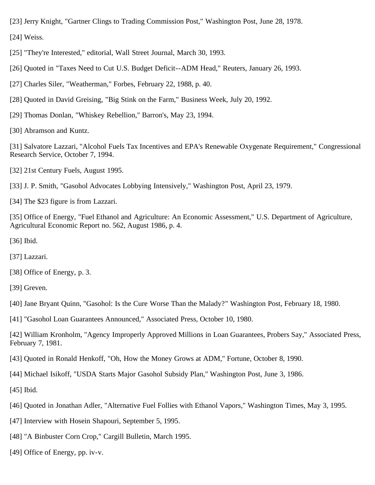[23] Jerry Knight, "Gartner Clings to Trading Commission Post," Washington Post, June 28, 1978.

[24] Weiss.

[25] "They're Interested," editorial, Wall Street Journal, March 30, 1993.

- [26] Quoted in "Taxes Need to Cut U.S. Budget Deficit--ADM Head," Reuters, January 26, 1993.
- [27] Charles Siler, "Weatherman," Forbes, February 22, 1988, p. 40.
- [28] Quoted in David Greising, "Big Stink on the Farm," Business Week, July 20, 1992.
- [29] Thomas Donlan, "Whiskey Rebellion," Barron's, May 23, 1994.
- [30] Abramson and Kuntz.

[31] Salvatore Lazzari, "Alcohol Fuels Tax Incentives and EPA's Renewable Oxygenate Requirement," Congressional Research Service, October 7, 1994.

[32] 21st Century Fuels, August 1995.

[33] J. P. Smith, "Gasohol Advocates Lobbying Intensively," Washington Post, April 23, 1979.

[34] The \$23 figure is from Lazzari.

[35] Office of Energy, "Fuel Ethanol and Agriculture: An Economic Assessment," U.S. Department of Agriculture, Agricultural Economic Report no. 562, August 1986, p. 4.

- [36] Ibid.
- [37] Lazzari.
- [38] Office of Energy, p. 3.
- [39] Greven.

[40] Jane Bryant Quinn, "Gasohol: Is the Cure Worse Than the Malady?" Washington Post, February 18, 1980.

[41] "Gasohol Loan Guarantees Announced," Associated Press, October 10, 1980.

[42] William Kronholm, "Agency Improperly Approved Millions in Loan Guarantees, Probers Say," Associated Press, February 7, 1981.

- [43] Quoted in Ronald Henkoff, "Oh, How the Money Grows at ADM," Fortune, October 8, 1990.
- [44] Michael Isikoff, "USDA Starts Major Gasohol Subsidy Plan," Washington Post, June 3, 1986.
- [45] Ibid.
- [46] Quoted in Jonathan Adler, "Alternative Fuel Follies with Ethanol Vapors," Washington Times, May 3, 1995.
- [47] Interview with Hosein Shapouri, September 5, 1995.
- [48] "A Binbuster Corn Crop," Cargill Bulletin, March 1995.
- [49] Office of Energy, pp. iv-v.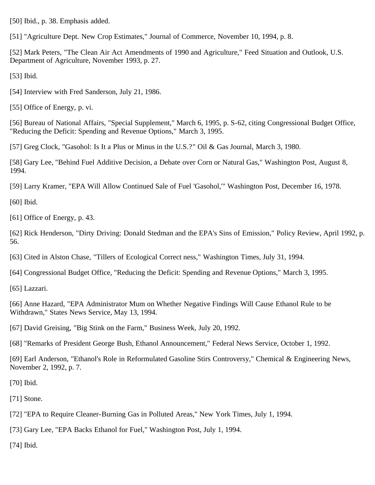[50] Ibid., p. 38. Emphasis added.

[51] "Agriculture Dept. New Crop Estimates," Journal of Commerce, November 10, 1994, p. 8.

[52] Mark Peters, "The Clean Air Act Amendments of 1990 and Agriculture," Feed Situation and Outlook, U.S. Department of Agriculture, November 1993, p. 27.

[53] Ibid.

[54] Interview with Fred Sanderson, July 21, 1986.

[55] Office of Energy, p. vi.

[56] Bureau of National Affairs, "Special Supplement," March 6, 1995, p. S-62, citing Congressional Budget Office, "Reducing the Deficit: Spending and Revenue Options," March 3, 1995.

[57] Greg Clock, "Gasohol: Is It a Plus or Minus in the U.S.?" Oil & Gas Journal, March 3, 1980.

[58] Gary Lee, "Behind Fuel Additive Decision, a Debate over Corn or Natural Gas," Washington Post, August 8, 1994.

[59] Larry Kramer, "EPA Will Allow Continued Sale of Fuel 'Gasohol,'" Washington Post, December 16, 1978.

[60] Ibid.

[61] Office of Energy, p. 43.

[62] Rick Henderson, "Dirty Driving: Donald Stedman and the EPA's Sins of Emission," Policy Review, April 1992, p. 56.

[63] Cited in Alston Chase, "Tillers of Ecological Correct ness," Washington Times, July 31, 1994.

[64] Congressional Budget Office, "Reducing the Deficit: Spending and Revenue Options," March 3, 1995.

[65] Lazzari.

[66] Anne Hazard, "EPA Administrator Mum on Whether Negative Findings Will Cause Ethanol Rule to be Withdrawn," States News Service, May 13, 1994.

[67] David Greising, "Big Stink on the Farm," Business Week, July 20, 1992.

[68] "Remarks of President George Bush, Ethanol Announcement," Federal News Service, October 1, 1992.

[69] Earl Anderson, "Ethanol's Role in Reformulated Gasoline Stirs Controversy," Chemical & Engineering News, November 2, 1992, p. 7.

[70] Ibid.

[71] Stone.

[72] "EPA to Require Cleaner-Burning Gas in Polluted Areas," New York Times, July 1, 1994.

[73] Gary Lee, "EPA Backs Ethanol for Fuel," Washington Post, July 1, 1994.

[74] Ibid.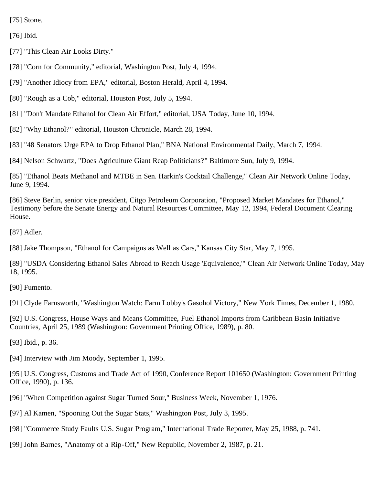[75] Stone.

[76] Ibid.

[77] "This Clean Air Looks Dirty."

[78] "Corn for Community," editorial, Washington Post, July 4, 1994.

[79] "Another Idiocy from EPA," editorial, Boston Herald, April 4, 1994.

[80] "Rough as a Cob," editorial, Houston Post, July 5, 1994.

[81] "Don't Mandate Ethanol for Clean Air Effort," editorial, USA Today, June 10, 1994.

[82] "Why Ethanol?" editorial, Houston Chronicle, March 28, 1994.

[83] "48 Senators Urge EPA to Drop Ethanol Plan," BNA National Environmental Daily, March 7, 1994.

[84] Nelson Schwartz, "Does Agriculture Giant Reap Politicians?" Baltimore Sun, July 9, 1994.

[85] "Ethanol Beats Methanol and MTBE in Sen. Harkin's Cocktail Challenge," Clean Air Network Online Today, June 9, 1994.

[86] Steve Berlin, senior vice president, Citgo Petroleum Corporation, "Proposed Market Mandates for Ethanol," Testimony before the Senate Energy and Natural Resources Committee, May 12, 1994, Federal Document Clearing House.

[87] Adler.

[88] Jake Thompson, "Ethanol for Campaigns as Well as Cars," Kansas City Star, May 7, 1995.

[89] "USDA Considering Ethanol Sales Abroad to Reach Usage 'Equivalence,'" Clean Air Network Online Today, May 18, 1995.

[90] Fumento.

[91] Clyde Farnsworth, "Washington Watch: Farm Lobby's Gasohol Victory," New York Times, December 1, 1980.

[92] U.S. Congress, House Ways and Means Committee, Fuel Ethanol Imports from Caribbean Basin Initiative Countries, April 25, 1989 (Washington: Government Printing Office, 1989), p. 80.

[93] Ibid., p. 36.

[94] Interview with Jim Moody, September 1, 1995.

[95] U.S. Congress, Customs and Trade Act of 1990, Conference Report 101650 (Washington: Government Printing Office, 1990), p. 136.

[96] "When Competition against Sugar Turned Sour," Business Week, November 1, 1976.

[97] Al Kamen, "Spooning Out the Sugar Stats," Washington Post, July 3, 1995.

[98] "Commerce Study Faults U.S. Sugar Program," International Trade Reporter, May 25, 1988, p. 741.

[99] John Barnes, "Anatomy of a Rip-Off," New Republic, November 2, 1987, p. 21.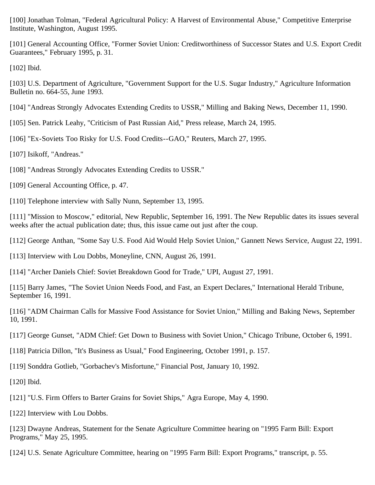[100] Jonathan Tolman, "Federal Agricultural Policy: A Harvest of Environmental Abuse," Competitive Enterprise Institute, Washington, August 1995.

[101] General Accounting Office, "Former Soviet Union: Creditworthiness of Successor States and U.S. Export Credit Guarantees," February 1995, p. 31.

[102] Ibid.

[103] U.S. Department of Agriculture, "Government Support for the U.S. Sugar Industry," Agriculture Information Bulletin no. 664-55, June 1993.

[104] "Andreas Strongly Advocates Extending Credits to USSR," Milling and Baking News, December 11, 1990.

[105] Sen. Patrick Leahy, "Criticism of Past Russian Aid," Press release, March 24, 1995.

[106] "Ex-Soviets Too Risky for U.S. Food Credits--GAO," Reuters, March 27, 1995.

[107] Isikoff, "Andreas."

[108] "Andreas Strongly Advocates Extending Credits to USSR."

[109] General Accounting Office, p. 47.

[110] Telephone interview with Sally Nunn, September 13, 1995.

[111] "Mission to Moscow," editorial, New Republic, September 16, 1991. The New Republic dates its issues several weeks after the actual publication date; thus, this issue came out just after the coup.

[112] George Anthan, "Some Say U.S. Food Aid Would Help Soviet Union," Gannett News Service, August 22, 1991.

[113] Interview with Lou Dobbs, Moneyline, CNN, August 26, 1991.

[114] "Archer Daniels Chief: Soviet Breakdown Good for Trade," UPI, August 27, 1991.

[115] Barry James, "The Soviet Union Needs Food, and Fast, an Expert Declares," International Herald Tribune, September 16, 1991.

[116] "ADM Chairman Calls for Massive Food Assistance for Soviet Union," Milling and Baking News, September 10, 1991.

[117] George Gunset, "ADM Chief: Get Down to Business with Soviet Union," Chicago Tribune, October 6, 1991.

[118] Patricia Dillon, "It's Business as Usual," Food Engineering, October 1991, p. 157.

[119] Sonddra Gotlieb, "Gorbachev's Misfortune," Financial Post, January 10, 1992.

[120] Ibid.

[121] "U.S. Firm Offers to Barter Grains for Soviet Ships," Agra Europe, May 4, 1990.

[122] Interview with Lou Dobbs.

[123] Dwayne Andreas, Statement for the Senate Agriculture Committee hearing on "1995 Farm Bill: Export Programs," May 25, 1995.

[124] U.S. Senate Agriculture Committee, hearing on "1995 Farm Bill: Export Programs," transcript, p. 55.